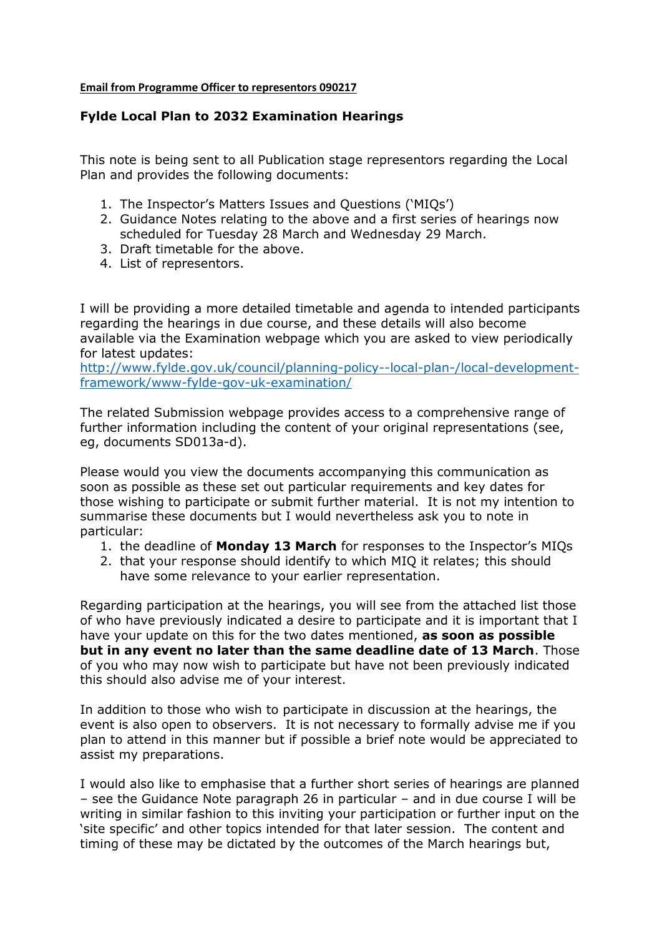## **Email from Programme Officer to representors 090217**

## **Fylde Local Plan to 2032 Examination Hearings**

This note is being sent to all Publication stage representors regarding the Local Plan and provides the following documents:

- 1. The Inspector's Matters Issues and Questions ('MIQs')
- 2. Guidance Notes relating to the above and a first series of hearings now scheduled for Tuesday 28 March and Wednesday 29 March.
- 3. Draft timetable for the above.
- 4. List of representors.

I will be providing a more detailed timetable and agenda to intended participants regarding the hearings in due course, and these details will also become available via the Examination webpage which you are asked to view periodically for latest updates:

[http://www.fylde.gov.uk/council/planning-policy--local-plan-/local-development](http://www.fylde.gov.uk/council/planning-policy--local-plan-/local-development-framework/www-fylde-gov-uk-examination/)[framework/www-fylde-gov-uk-examination/](http://www.fylde.gov.uk/council/planning-policy--local-plan-/local-development-framework/www-fylde-gov-uk-examination/)

The related Submission webpage provides access to a comprehensive range of further information including the content of your original representations (see, eg, documents SD013a-d).

Please would you view the documents accompanying this communication as soon as possible as these set out particular requirements and key dates for those wishing to participate or submit further material. It is not my intention to summarise these documents but I would nevertheless ask you to note in particular:

- 1. the deadline of **Monday 13 March** for responses to the Inspector's MIQs
- 2. that your response should identify to which MIQ it relates; this should have some relevance to your earlier representation.

Regarding participation at the hearings, you will see from the attached list those of who have previously indicated a desire to participate and it is important that I have your update on this for the two dates mentioned, **as soon as possible but in any event no later than the same deadline date of 13 March**. Those of you who may now wish to participate but have not been previously indicated this should also advise me of your interest.

In addition to those who wish to participate in discussion at the hearings, the event is also open to observers. It is not necessary to formally advise me if you plan to attend in this manner but if possible a brief note would be appreciated to assist my preparations.

I would also like to emphasise that a further short series of hearings are planned – see the Guidance Note paragraph 26 in particular – and in due course I will be writing in similar fashion to this inviting your participation or further input on the 'site specific' and other topics intended for that later session. The content and timing of these may be dictated by the outcomes of the March hearings but,